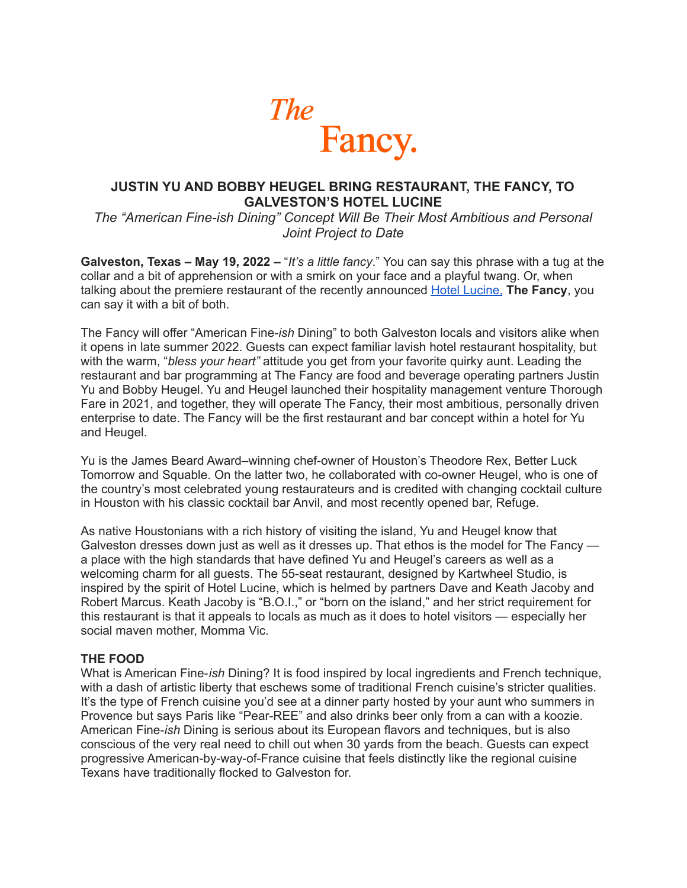

# **JUSTIN YU AND BOBBY HEUGEL BRING RESTAURANT, THE FANCY, TO GALVESTON'S HOTEL LUCINE**

*The "American Fine-ish Dining" Concept Will Be Their Most Ambitious and Personal Joint Project to Date*

**Galveston, Texas – May 19, 2022 –** "*It's a little fancy*." You can say this phrase with a tug at the collar and a bit of apprehension or with a smirk on your face and a playful twang. Or, when talking about the premiere restaurant of the recently announced Hotel [Lucine,](http://hotellucine.com) **The Fancy**, you can say it with a bit of both.

The Fancy will offer "American Fine-*ish* Dining" to both Galveston locals and visitors alike when it opens in late summer 2022. Guests can expect familiar lavish hotel restaurant hospitality, but with the warm, "*bless your heart"* attitude you get from your favorite quirky aunt. Leading the restaurant and bar programming at The Fancy are food and beverage operating partners Justin Yu and Bobby Heugel. Yu and Heugel launched their hospitality management venture Thorough Fare in 2021, and together, they will operate The Fancy, their most ambitious, personally driven enterprise to date. The Fancy will be the first restaurant and bar concept within a hotel for Yu and Heugel.

Yu is the James Beard Award–winning chef-owner of Houston's Theodore Rex, Better Luck Tomorrow and Squable. On the latter two, he collaborated with co-owner Heugel, who is one of the country's most celebrated young restaurateurs and is credited with changing cocktail culture in Houston with his classic cocktail bar Anvil, and most recently opened bar, Refuge.

As native Houstonians with a rich history of visiting the island, Yu and Heugel know that Galveston dresses down just as well as it dresses up. That ethos is the model for The Fancy a place with the high standards that have defined Yu and Heugel's careers as well as a welcoming charm for all guests. The 55-seat restaurant, designed by Kartwheel Studio, is inspired by the spirit of Hotel Lucine, which is helmed by partners Dave and Keath Jacoby and Robert Marcus. Keath Jacoby is "B.O.I.," or "born on the island," and her strict requirement for this restaurant is that it appeals to locals as much as it does to hotel visitors — especially her social maven mother, Momma Vic.

### **THE FOOD**

What is American Fine-*ish* Dining? It is food inspired by local ingredients and French technique, with a dash of artistic liberty that eschews some of traditional French cuisine's stricter qualities. It's the type of French cuisine you'd see at a dinner party hosted by your aunt who summers in Provence but says Paris like "Pear-REE" and also drinks beer only from a can with a koozie. American Fine-*ish* Dining is serious about its European flavors and techniques, but is also conscious of the very real need to chill out when 30 yards from the beach. Guests can expect progressive American-by-way-of-France cuisine that feels distinctly like the regional cuisine Texans have traditionally flocked to Galveston for.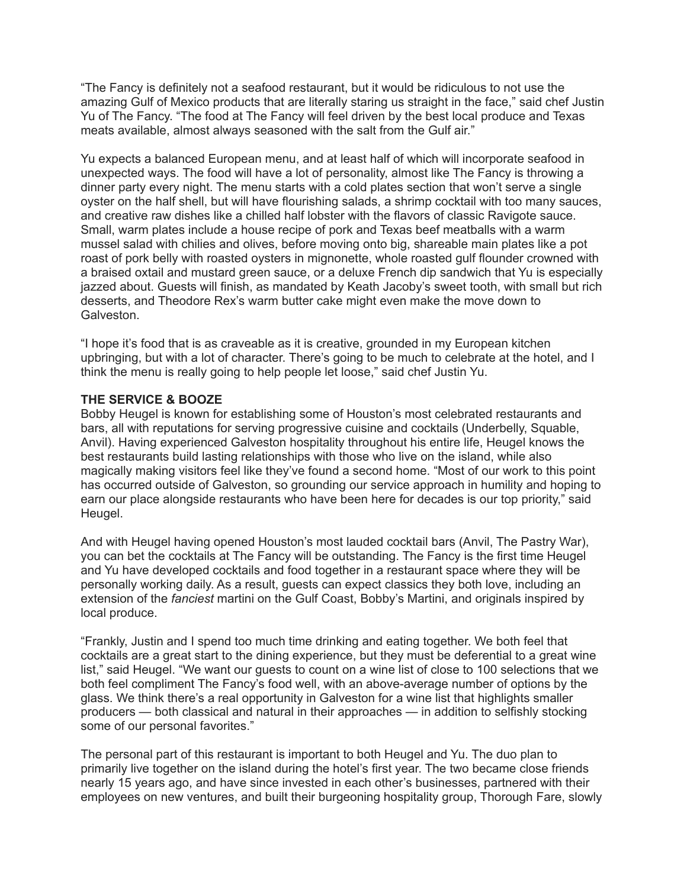"The Fancy is definitely not a seafood restaurant, but it would be ridiculous to not use the amazing Gulf of Mexico products that are literally staring us straight in the face," said chef Justin Yu of The Fancy. "The food at The Fancy will feel driven by the best local produce and Texas meats available, almost always seasoned with the salt from the Gulf air."

Yu expects a balanced European menu, and at least half of which will incorporate seafood in unexpected ways. The food will have a lot of personality, almost like The Fancy is throwing a dinner party every night. The menu starts with a cold plates section that won't serve a single oyster on the half shell, but will have flourishing salads, a shrimp cocktail with too many sauces, and creative raw dishes like a chilled half lobster with the flavors of classic Ravigote sauce. Small, warm plates include a house recipe of pork and Texas beef meatballs with a warm mussel salad with chilies and olives, before moving onto big, shareable main plates like a pot roast of pork belly with roasted oysters in mignonette, whole roasted gulf flounder crowned with a braised oxtail and mustard green sauce, or a deluxe French dip sandwich that Yu is especially jazzed about. Guests will finish, as mandated by Keath Jacoby's sweet tooth, with small but rich desserts, and Theodore Rex's warm butter cake might even make the move down to Galveston.

"I hope it's food that is as craveable as it is creative, grounded in my European kitchen upbringing, but with a lot of character. There's going to be much to celebrate at the hotel, and I think the menu is really going to help people let loose," said chef Justin Yu.

## **THE SERVICE & BOOZE**

Bobby Heugel is known for establishing some of Houston's most celebrated restaurants and bars, all with reputations for serving progressive cuisine and cocktails (Underbelly, Squable, Anvil). Having experienced Galveston hospitality throughout his entire life, Heugel knows the best restaurants build lasting relationships with those who live on the island, while also magically making visitors feel like they've found a second home. "Most of our work to this point has occurred outside of Galveston, so grounding our service approach in humility and hoping to earn our place alongside restaurants who have been here for decades is our top priority," said Heugel.

And with Heugel having opened Houston's most lauded cocktail bars (Anvil, The Pastry War), you can bet the cocktails at The Fancy will be outstanding. The Fancy is the first time Heugel and Yu have developed cocktails and food together in a restaurant space where they will be personally working daily. As a result, guests can expect classics they both love, including an extension of the *fanciest* martini on the Gulf Coast, Bobby's Martini, and originals inspired by local produce.

"Frankly, Justin and I spend too much time drinking and eating together. We both feel that cocktails are a great start to the dining experience, but they must be deferential to a great wine list," said Heugel. "We want our guests to count on a wine list of close to 100 selections that we both feel compliment The Fancy's food well, with an above-average number of options by the glass. We think there's a real opportunity in Galveston for a wine list that highlights smaller producers — both classical and natural in their approaches — in addition to selfishly stocking some of our personal favorites."

The personal part of this restaurant is important to both Heugel and Yu. The duo plan to primarily live together on the island during the hotel's first year. The two became close friends nearly 15 years ago, and have since invested in each other's businesses, partnered with their employees on new ventures, and built their burgeoning hospitality group, Thorough Fare, slowly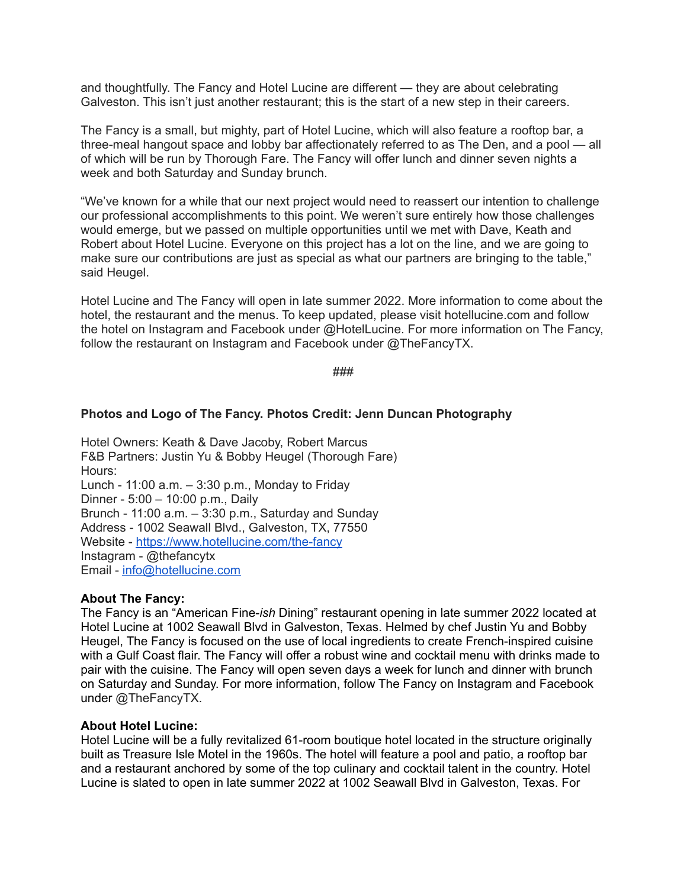and thoughtfully. The Fancy and Hotel Lucine are different — they are about celebrating Galveston. This isn't just another restaurant; this is the start of a new step in their careers.

The Fancy is a small, but mighty, part of Hotel Lucine, which will also feature a rooftop bar, a three-meal hangout space and lobby bar affectionately referred to as The Den, and a pool — all of which will be run by Thorough Fare. The Fancy will offer lunch and dinner seven nights a week and both Saturday and Sunday brunch.

"We've known for a while that our next project would need to reassert our intention to challenge our professional accomplishments to this point. We weren't sure entirely how those challenges would emerge, but we passed on multiple opportunities until we met with Dave, Keath and Robert about Hotel Lucine. Everyone on this project has a lot on the line, and we are going to make sure our contributions are just as special as what our partners are bringing to the table," said Heugel.

Hotel Lucine and The Fancy will open in late summer 2022. More information to come about the hotel, the restaurant and the menus. To keep updated, please visit hotellucine.com and follow the hotel on Instagram and Facebook under @HotelLucine. For more information on The Fancy, follow the restaurant on Instagram and Facebook under @TheFancyTX.

###

### **Photos and Logo of The Fancy. Photos Credit: Jenn Duncan Photography**

Hotel Owners: Keath & Dave Jacoby, Robert Marcus F&B Partners: Justin Yu & Bobby Heugel (Thorough Fare) Hours: Lunch - 11:00 a.m. – 3:30 p.m., Monday to Friday Dinner - 5:00 – 10:00 p.m., Daily Brunch - 11:00 a.m. – 3:30 p.m., Saturday and Sunday Address - 1002 Seawall Blvd., Galveston, TX, 77550 Website - <https://www.hotellucine.com/the-fancy> Instagram - @thefancytx Email - [info@hotellucine.com](mailto:info@hotellucine.com)

### **About The Fancy:**

The Fancy is an "American Fine-*ish* Dining" restaurant opening in late summer 2022 located at Hotel Lucine at 1002 Seawall Blvd in Galveston, Texas. Helmed by chef Justin Yu and Bobby Heugel, The Fancy is focused on the use of local ingredients to create French-inspired cuisine with a Gulf Coast flair. The Fancy will offer a robust wine and cocktail menu with drinks made to pair with the cuisine. The Fancy will open seven days a week for lunch and dinner with brunch on Saturday and Sunday. For more information, follow The Fancy on Instagram and Facebook under @TheFancyTX.

#### **About Hotel Lucine:**

Hotel Lucine will be a fully revitalized 61-room boutique hotel located in the structure originally built as Treasure Isle Motel in the 1960s. The hotel will feature a pool and patio, a rooftop bar and a restaurant anchored by some of the top culinary and cocktail talent in the country. Hotel Lucine is slated to open in late summer 2022 at 1002 Seawall Blvd in Galveston, Texas. For